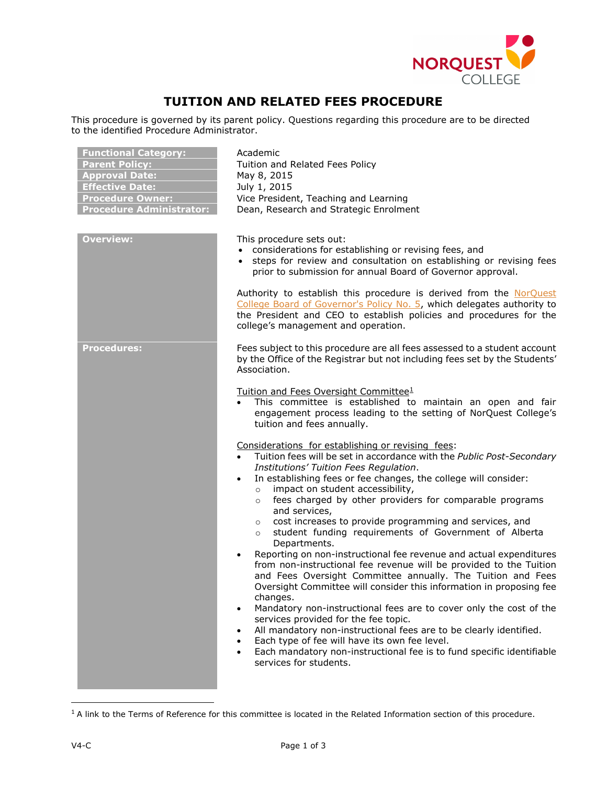

## **TUITION AND RELATED FEES PROCEDURE**

This procedure is governed by its parent policy. Questions regarding this procedure are to be directed to the identified Procedure Administrator.

| <b>Functional Category:</b><br><b>Parent Policy:</b><br><b>Approval Date:</b><br><b>Effective Date:</b><br><b>Procedure Owner:</b><br><b>Procedure Administrator:</b> | Academic<br>Tuition and Related Fees Policy<br>May 8, 2015<br>July 1, 2015<br>Vice President, Teaching and Learning<br>Dean, Research and Strategic Enrolment                                                                                                                                                                                                                                                                                                                                                                                                                                                                                                                             |
|-----------------------------------------------------------------------------------------------------------------------------------------------------------------------|-------------------------------------------------------------------------------------------------------------------------------------------------------------------------------------------------------------------------------------------------------------------------------------------------------------------------------------------------------------------------------------------------------------------------------------------------------------------------------------------------------------------------------------------------------------------------------------------------------------------------------------------------------------------------------------------|
| <b>Overview:</b>                                                                                                                                                      | This procedure sets out:<br>• considerations for establishing or revising fees, and<br>• steps for review and consultation on establishing or revising fees<br>prior to submission for annual Board of Governor approval.<br>Authority to establish this procedure is derived from the NorQuest<br>College Board of Governor's Policy No. 5, which delegates authority to<br>the President and CEO to establish policies and procedures for the                                                                                                                                                                                                                                           |
| <b>Procedures:</b>                                                                                                                                                    | college's management and operation.<br>Fees subject to this procedure are all fees assessed to a student account<br>by the Office of the Registrar but not including fees set by the Students'<br>Association.                                                                                                                                                                                                                                                                                                                                                                                                                                                                            |
|                                                                                                                                                                       | Tuition and Fees Oversight Committee <sup>1</sup><br>This committee is established to maintain an open and fair<br>engagement process leading to the setting of NorQuest College's<br>tuition and fees annually.                                                                                                                                                                                                                                                                                                                                                                                                                                                                          |
|                                                                                                                                                                       | Considerations for establishing or revising fees:<br>Tuition fees will be set in accordance with the Public Post-Secondary<br>Institutions' Tuition Fees Regulation.<br>In establishing fees or fee changes, the college will consider:<br>$\bullet$<br>impact on student accessibility,<br>$\circ$<br>fees charged by other providers for comparable programs<br>$\circ$<br>and services,<br>cost increases to provide programming and services, and<br>$\circ$<br>student funding requirements of Government of Alberta<br>$\circ$                                                                                                                                                      |
|                                                                                                                                                                       | Departments.<br>Reporting on non-instructional fee revenue and actual expenditures<br>$\bullet$<br>from non-instructional fee revenue will be provided to the Tuition<br>and Fees Oversight Committee annually. The Tuition and Fees<br>Oversight Committee will consider this information in proposing fee<br>changes.<br>Mandatory non-instructional fees are to cover only the cost of the<br>$\bullet$<br>services provided for the fee topic.<br>All mandatory non-instructional fees are to be clearly identified.<br>$\bullet$<br>Each type of fee will have its own fee level.<br>$\bullet$<br>Each mandatory non-instructional fee is to fund specific identifiable<br>$\bullet$ |
|                                                                                                                                                                       | services for students.                                                                                                                                                                                                                                                                                                                                                                                                                                                                                                                                                                                                                                                                    |

<span id="page-0-0"></span> $1$  A link to the Terms of Reference for this committee is located in the Related Information section of this procedure.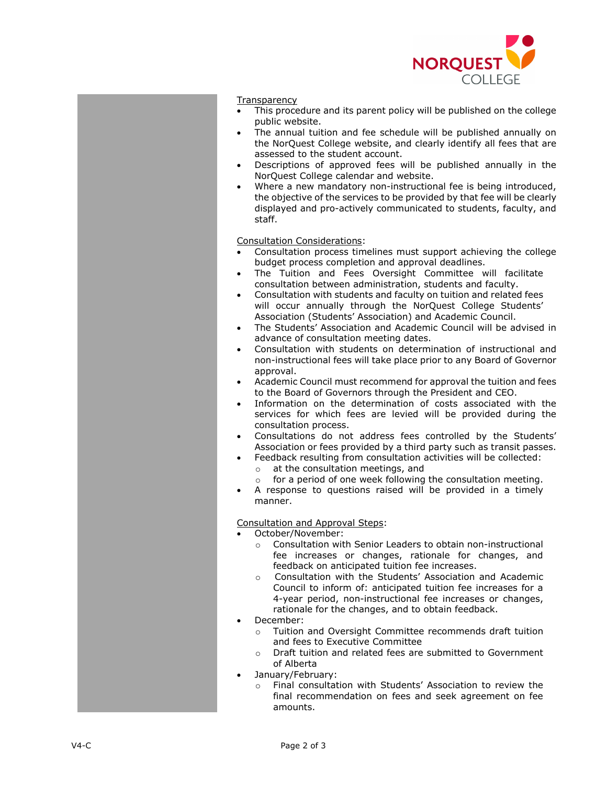

## **Transparency**

- This procedure and its parent policy will be published on the college public website.
- The annual tuition and fee schedule will be published annually on the NorQuest College website, and clearly identify all fees that are assessed to the student account.
- Descriptions of approved fees will be published annually in the NorQuest College calendar and website.
- Where a new mandatory non-instructional fee is being introduced, the objective of the services to be provided by that fee will be clearly displayed and pro-actively communicated to students, faculty, and staff.

Consultation Considerations:

- Consultation process timelines must support achieving the college budget process completion and approval deadlines.
- The Tuition and Fees Oversight Committee will facilitate consultation between administration, students and faculty.
- Consultation with students and faculty on tuition and related fees will occur annually through the NorQuest College Students' Association (Students' Association) and Academic Council.
- The Students' Association and Academic Council will be advised in advance of consultation meeting dates.
- Consultation with students on determination of instructional and non-instructional fees will take place prior to any Board of Governor approval.
- Academic Council must recommend for approval the tuition and fees to the Board of Governors through the President and CEO.
- Information on the determination of costs associated with the services for which fees are levied will be provided during the consultation process.
- Consultations do not address fees controlled by the Students' Association or fees provided by a third party such as transit passes.
	- Feedback resulting from consultation activities will be collected:
	- $\circ$  at the consultation meetings, and<br> $\circ$  for a period of one week following
	- for a period of one week following the consultation meeting.
- A response to questions raised will be provided in a timely manner.

## Consultation and Approval Steps:

• October/November:

- o Consultation with Senior Leaders to obtain non-instructional fee increases or changes, rationale for changes, and feedback on anticipated tuition fee increases.
- o Consultation with the Students' Association and Academic Council to inform of: anticipated tuition fee increases for a 4-year period, non-instructional fee increases or changes, rationale for the changes, and to obtain feedback.
- December:
	- o Tuition and Oversight Committee recommends draft tuition and fees to Executive Committee
	- o Draft tuition and related fees are submitted to Government of Alberta
- January/February:
	- o Final consultation with Students' Association to review the final recommendation on fees and seek agreement on fee amounts.